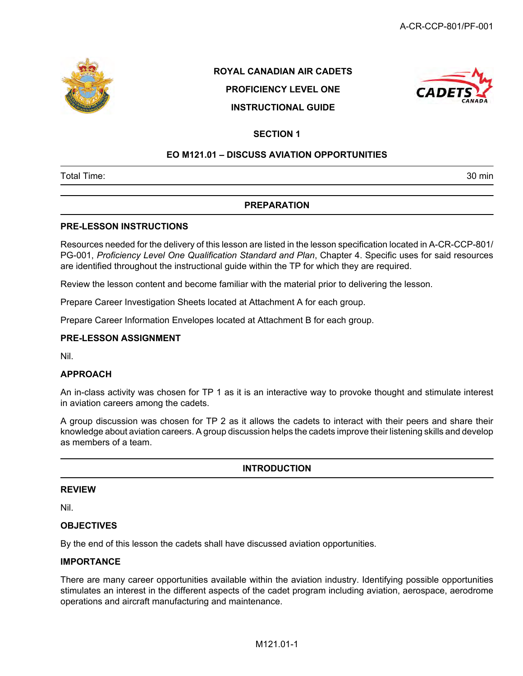

# ROYAL CANADIAN AIR CADETS PROFICIENCY LEVEL ONE INSTRUCTIONAL GUIDE



# SECTION 1

# EO M121.01 – DISCUSS AVIATION OPPORTUNITIES

Total Time: 30 min

# PREPARATION

#### PRE-LESSON INSTRUCTIONS

Resources needed for the delivery of this lesson are listed in the lesson specification located in A-CR-CCP-801/ PG-001, Proficiency Level One Qualification Standard and Plan, Chapter 4. Specific uses for said resources are identified throughout the instructional guide within the TP for which they are required.

Review the lesson content and become familiar with the material prior to delivering the lesson.

Prepare Career Investigation Sheets located at Attachment A for each group.

Prepare Career Information Envelopes located at Attachment B for each group.

# PRE-LESSON ASSIGNMENT

Nil.

# APPROACH

An in-class activity was chosen for TP 1 as it is an interactive way to provoke thought and stimulate interest in aviation careers among the cadets.

A group discussion was chosen for TP 2 as it allows the cadets to interact with their peers and share their knowledge about aviation careers. A group discussion helps the cadets improve their listening skills and develop as members of a team.

# INTRODUCTION

#### REVIEW

Nil.

#### **OBJECTIVES**

By the end of this lesson the cadets shall have discussed aviation opportunities.

#### **IMPORTANCE**

There are many career opportunities available within the aviation industry. Identifying possible opportunities stimulates an interest in the different aspects of the cadet program including aviation, aerospace, aerodrome operations and aircraft manufacturing and maintenance.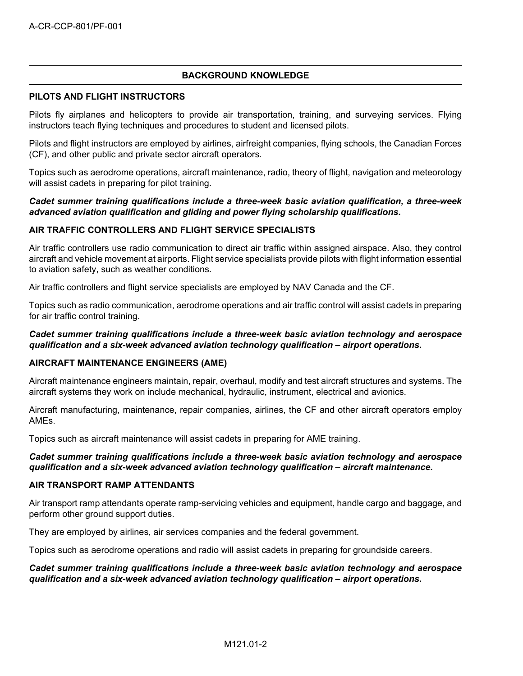# BACKGROUND KNOWLEDGE

### PILOTS AND FLIGHT INSTRUCTORS

Pilots fly airplanes and helicopters to provide air transportation, training, and surveying services. Flying instructors teach flying techniques and procedures to student and licensed pilots.

Pilots and flight instructors are employed by airlines, airfreight companies, flying schools, the Canadian Forces (CF), and other public and private sector aircraft operators.

Topics such as aerodrome operations, aircraft maintenance, radio, theory of flight, navigation and meteorology will assist cadets in preparing for pilot training.

### Cadet summer training qualifications include a three-week basic aviation qualification, a three-week advanced aviation qualification and gliding and power flying scholarship qualifications.

# AIR TRAFFIC CONTROLLERS AND FLIGHT SERVICE SPECIALISTS

Air traffic controllers use radio communication to direct air traffic within assigned airspace. Also, they control aircraft and vehicle movement at airports. Flight service specialists provide pilots with flight information essential to aviation safety, such as weather conditions.

Air traffic controllers and flight service specialists are employed by NAV Canada and the CF.

Topics such as radio communication, aerodrome operations and air traffic control will assist cadets in preparing for air traffic control training.

#### Cadet summer training qualifications include a three-week basic aviation technology and aerospace qualification and a six-week advanced aviation technology qualification – airport operations.

# AIRCRAFT MAINTENANCE ENGINEERS (AME)

Aircraft maintenance engineers maintain, repair, overhaul, modify and test aircraft structures and systems. The aircraft systems they work on include mechanical, hydraulic, instrument, electrical and avionics.

Aircraft manufacturing, maintenance, repair companies, airlines, the CF and other aircraft operators employ AMEs.

Topics such as aircraft maintenance will assist cadets in preparing for AME training.

# Cadet summer training qualifications include a three-week basic aviation technology and aerospace qualification and a six-week advanced aviation technology qualification – aircraft maintenance.

#### AIR TRANSPORT RAMP ATTENDANTS

Air transport ramp attendants operate ramp-servicing vehicles and equipment, handle cargo and baggage, and perform other ground support duties.

They are employed by airlines, air services companies and the federal government.

Topics such as aerodrome operations and radio will assist cadets in preparing for groundside careers.

#### Cadet summer training qualifications include a three-week basic aviation technology and aerospace qualification and a six-week advanced aviation technology qualification – airport operations.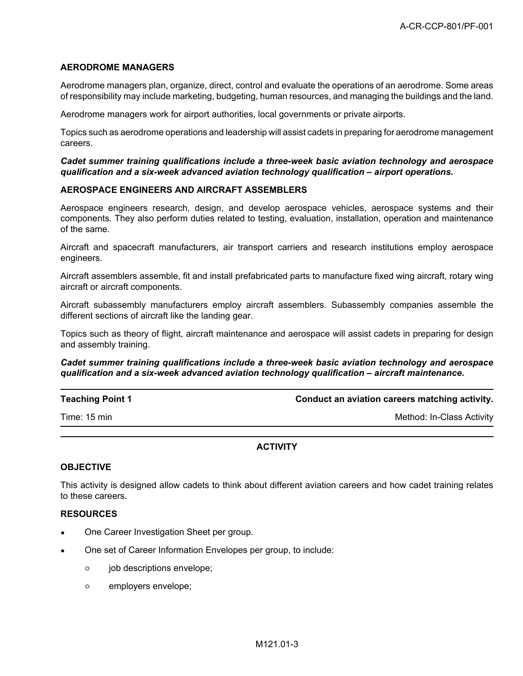#### AERODROME MANAGERS

Aerodrome managers plan, organize, direct, control and evaluate the operations of an aerodrome. Some areas of responsibility may include marketing, budgeting, human resources, and managing the buildings and the land.

Aerodrome managers work for airport authorities, local governments or private airports.

Topics such as aerodrome operations and leadership will assist cadets in preparing for aerodrome management careers.

#### Cadet summer training qualifications include a three-week basic aviation technology and aerospace qualification and a six-week advanced aviation technology qualification – airport operations.

#### AEROSPACE ENGINEERS AND AIRCRAFT ASSEMBLERS

Aerospace engineers research, design, and develop aerospace vehicles, aerospace systems and their components. They also perform duties related to testing, evaluation, installation, operation and maintenance of the same.

Aircraft and spacecraft manufacturers, air transport carriers and research institutions employ aerospace engineers.

Aircraft assemblers assemble, fit and install prefabricated parts to manufacture fixed wing aircraft, rotary wing aircraft or aircraft components.

Aircraft subassembly manufacturers employ aircraft assemblers. Subassembly companies assemble the different sections of aircraft like the landing gear.

Topics such as theory of flight, aircraft maintenance and aerospace will assist cadets in preparing for design and assembly training.

Cadet summer training qualifications include a three-week basic aviation technology and aerospace qualification and a six-week advanced aviation technology qualification – aircraft maintenance.

Teaching Point 1 **Teaching Point 1** Conduct an aviation careers matching activity.

Time: 15 min Method: In-Class Activity

# **ACTIVITY**

#### **OBJECTIVE**

This activity is designed allow cadets to think about different aviation careers and how cadet training relates to these careers.

#### RESOURCES

- One Career Investigation Sheet per group.
- One set of Career Information Envelopes per group, to include:
	- job descriptions envelope;  $\Omega$
	- $\circ$ employers envelope;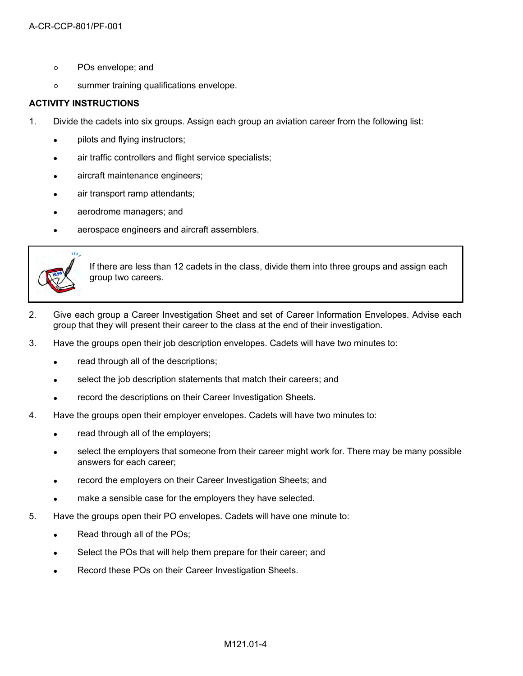- $\circ$ POs envelope; and
- summer training qualifications envelope.  $\circ$

#### ACTIVITY INSTRUCTIONS

- 1. Divide the cadets into six groups. Assign each group an aviation career from the following list:
	- pilots and flying instructors;  $\bullet$
	- air traffic controllers and flight service specialists;  $\bullet$
	- aircraft maintenance engineers;  $\bullet$
	- air transport ramp attendants;  $\bullet$
	- aerodrome managers; and  $\bullet$
	- aerospace engineers and aircraft assemblers.  $\bullet$



If there are less than 12 cadets in the class, divide them into three groups and assign each group two careers.

- 2. Give each group a Career Investigation Sheet and set of Career Information Envelopes. Advise each group that they will present their career to the class at the end of their investigation.
- 3. Have the groups open their job description envelopes. Cadets will have two minutes to:
	- read through all of the descriptions;
	- select the job description statements that match their careers; and
	- record the descriptions on their Career Investigation Sheets.  $\bullet$
- 4. Have the groups open their employer envelopes. Cadets will have two minutes to:
	- read through all of the employers;  $\bullet$
	- select the employers that someone from their career might work for. There may be many possible answers for each career;
	- record the employers on their Career Investigation Sheets; and  $\bullet$
	- make a sensible case for the employers they have selected.
- 5. Have the groups open their PO envelopes. Cadets will have one minute to:
	- Read through all of the POs;
	- Select the POs that will help them prepare for their career; and
	- Record these POs on their Career Investigation Sheets.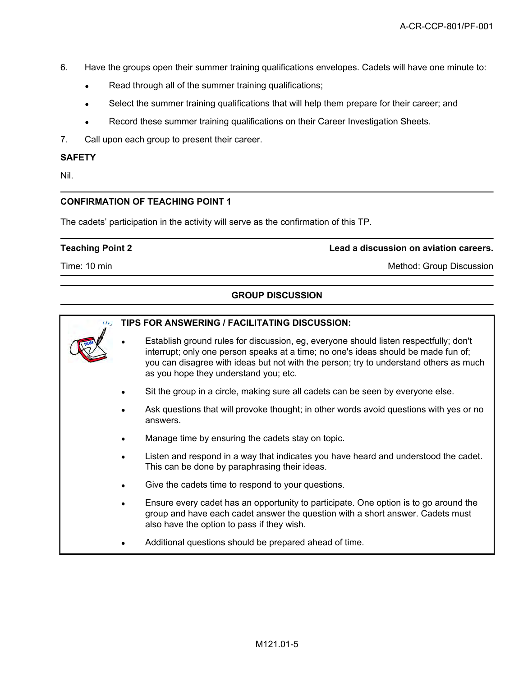- 6. Have the groups open their summer training qualifications envelopes. Cadets will have one minute to:
	- Read through all of the summer training qualifications;
	- Select the summer training qualifications that will help them prepare for their career; and
	- Record these summer training qualifications on their Career Investigation Sheets.
- 7. Call upon each group to present their career.

answers.

#### **SAFETY**

Nil.

### CONFIRMATION OF TEACHING POINT 1

The cadets' participation in the activity will serve as the confirmation of this TP.

### Teaching Point 2 Lead a discussion on aviation careers.

Time: 10 min Method: Group Discussion

# GROUP DISCUSSION

| 111. |           | TIPS FOR ANSWERING / FACILITATING DISCUSSION:                                                                                                                                                                                                                                                                 |
|------|-----------|---------------------------------------------------------------------------------------------------------------------------------------------------------------------------------------------------------------------------------------------------------------------------------------------------------------|
|      | $\bullet$ | Establish ground rules for discussion, eg, everyone should listen respectfully; don't<br>interrupt; only one person speaks at a time; no one's ideas should be made fun of;<br>you can disagree with ideas but not with the person; try to understand others as much<br>as you hope they understand you; etc. |
|      | $\bullet$ | Sit the group in a circle, making sure all cadets can be seen by everyone else.                                                                                                                                                                                                                               |
|      | $\bullet$ | Ask questions that will provoke thought; in other words avoid questions with yes or no                                                                                                                                                                                                                        |

- Manage time by ensuring the cadets stay on topic.  $\bullet$
- Listen and respond in a way that indicates you have heard and understood the cadet. This can be done by paraphrasing their ideas.
- Give the cadets time to respond to your questions.
- Ensure every cadet has an opportunity to participate. One option is to go around the group and have each cadet answer the question with a short answer. Cadets must also have the option to pass if they wish.
- Additional questions should be prepared ahead of time.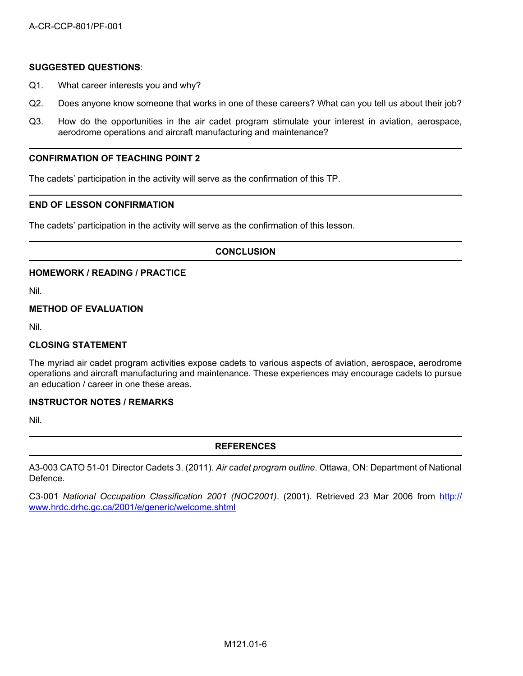#### SUGGESTED QUESTIONS:

- Q1. What career interests you and why?
- Q2. Does anyone know someone that works in one of these careers? What can you tell us about their job?
- Q3. How do the opportunities in the air cadet program stimulate your interest in aviation, aerospace, aerodrome operations and aircraft manufacturing and maintenance?

#### CONFIRMATION OF TEACHING POINT 2

The cadets' participation in the activity will serve as the confirmation of this TP.

# END OF LESSON CONFIRMATION

The cadets' participation in the activity will serve as the confirmation of this lesson.

# **CONCLUSION**

# HOMEWORK / READING / PRACTICE

Nil.

#### METHOD OF EVALUATION

Nil.

# CLOSING STATEMENT

The myriad air cadet program activities expose cadets to various aspects of aviation, aerospace, aerodrome operations and aircraft manufacturing and maintenance. These experiences may encourage cadets to pursue an education / career in one these areas.

### INSTRUCTOR NOTES / REMARKS

Nil.

# **REFERENCES**

A3-003 CATO 51-01 Director Cadets 3. (2011). Air cadet program outline. Ottawa, ON: Department of National Defence.

C3-001 National Occupation Classification 2001 (NOC2001). (2001). Retrieved 23 Mar 2006 from http:// www.hrdc.drhc.gc.ca/2001/e/generic/welcome.shtml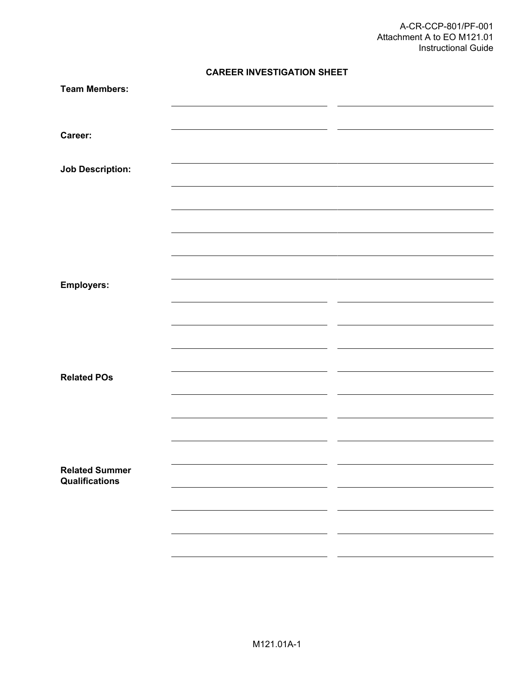A-CR-CCP-801/PF-001 Attachment A to EO M121.01 Instructional Guide

### CAREER INVESTIGATION SHEET

| <b>Team Members:</b>                    |  |
|-----------------------------------------|--|
|                                         |  |
| Career:                                 |  |
| <b>Job Description:</b>                 |  |
|                                         |  |
|                                         |  |
|                                         |  |
|                                         |  |
| <b>Employers:</b>                       |  |
|                                         |  |
|                                         |  |
|                                         |  |
| <b>Related POs</b>                      |  |
|                                         |  |
|                                         |  |
|                                         |  |
| <b>Related Summer</b><br>Qualifications |  |
|                                         |  |
|                                         |  |
|                                         |  |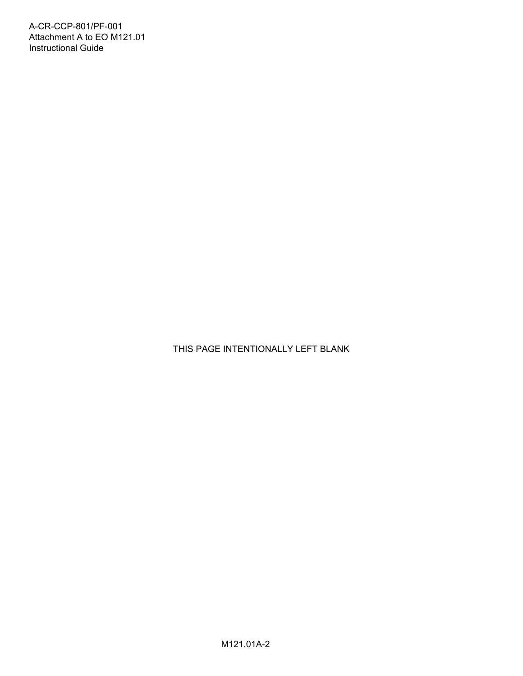A-CR-CCP-801/PF-001 Attachment A to EO M121.01 Instructional Guide

THIS PAGE INTENTIONALLY LEFT BLANK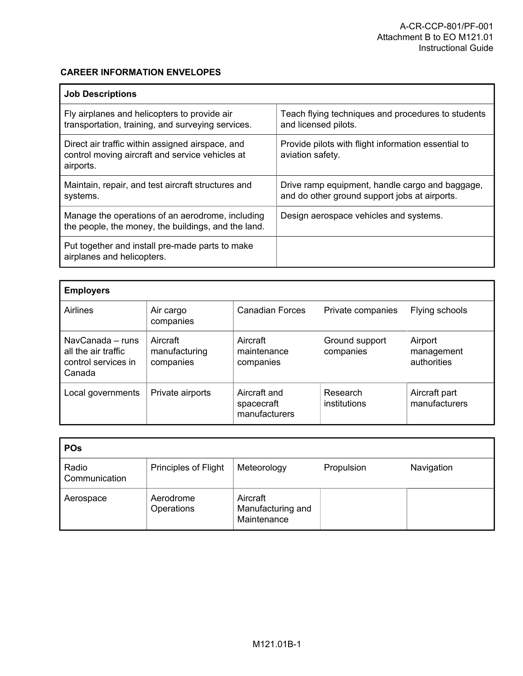# CAREER INFORMATION ENVELOPES

ř.

| <b>Job Descriptions</b>                                                                                          |                                                                                                  |
|------------------------------------------------------------------------------------------------------------------|--------------------------------------------------------------------------------------------------|
| Fly airplanes and helicopters to provide air<br>transportation, training, and surveying services.                | Teach flying techniques and procedures to students<br>and licensed pilots.                       |
| Direct air traffic within assigned airspace, and<br>control moving aircraft and service vehicles at<br>airports. | Provide pilots with flight information essential to<br>aviation safety.                          |
| Maintain, repair, and test aircraft structures and<br>systems.                                                   | Drive ramp equipment, handle cargo and baggage,<br>and do other ground support jobs at airports. |
| Manage the operations of an aerodrome, including<br>the people, the money, the buildings, and the land.          | Design aerospace vehicles and systems.                                                           |
| Put together and install pre-made parts to make<br>airplanes and helicopters.                                    |                                                                                                  |

| <b>Employers</b>                                                         |                                        |                                             |                             |                                      |
|--------------------------------------------------------------------------|----------------------------------------|---------------------------------------------|-----------------------------|--------------------------------------|
| Airlines                                                                 | Air cargo<br>companies                 | Canadian Forces                             | Private companies           | Flying schools                       |
| NavCanada - runs<br>all the air traffic<br>control services in<br>Canada | Aircraft<br>manufacturing<br>companies | Aircraft<br>maintenance<br>companies        | Ground support<br>companies | Airport<br>management<br>authorities |
| Local governments                                                        | Private airports                       | Aircraft and<br>spacecraft<br>manufacturers | Research<br>institutions    | Aircraft part<br>manufacturers       |

| <b>POs</b>             |                             |                                              |            |            |
|------------------------|-----------------------------|----------------------------------------------|------------|------------|
| Radio<br>Communication | <b>Principles of Flight</b> | Meteorology                                  | Propulsion | Navigation |
| Aerospace              | Aerodrome<br>Operations     | Aircraft<br>Manufacturing and<br>Maintenance |            |            |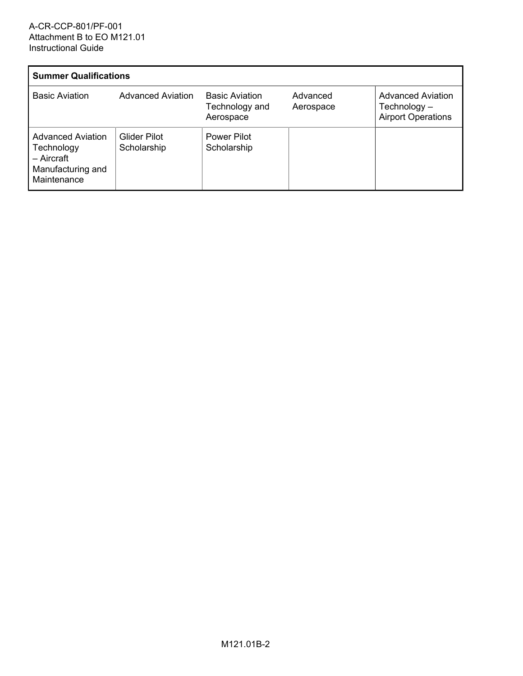| <b>Summer Qualifications</b>                                                             |                             |                                                      |                       |                                                                       |
|------------------------------------------------------------------------------------------|-----------------------------|------------------------------------------------------|-----------------------|-----------------------------------------------------------------------|
| <b>Basic Aviation</b>                                                                    | <b>Advanced Aviation</b>    | <b>Basic Aviation</b><br>Technology and<br>Aerospace | Advanced<br>Aerospace | <b>Advanced Aviation</b><br>Technology –<br><b>Airport Operations</b> |
| <b>Advanced Aviation</b><br>Technology<br>- Aircraft<br>Manufacturing and<br>Maintenance | Glider Pilot<br>Scholarship | <b>Power Pilot</b><br>Scholarship                    |                       |                                                                       |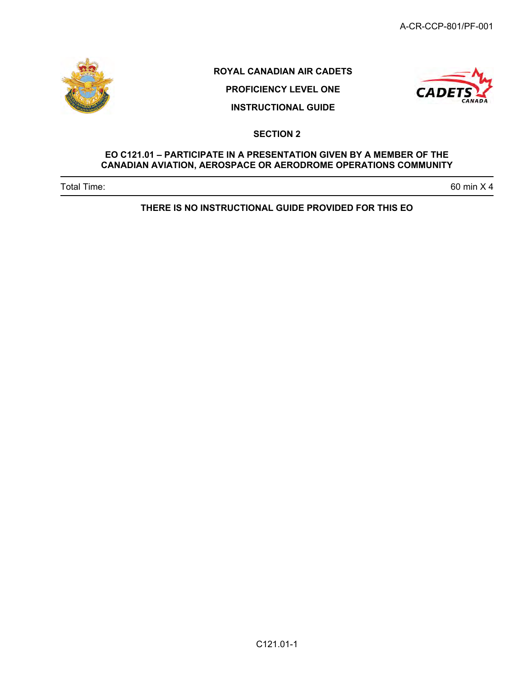

ROYAL CANADIAN AIR CADETS

PROFICIENCY LEVEL ONE



INSTRUCTIONAL GUIDE

SECTION 2

# EO C121.01 – PARTICIPATE IN A PRESENTATION GIVEN BY A MEMBER OF THE CANADIAN AVIATION, AEROSPACE OR AERODROME OPERATIONS COMMUNITY

Total Time: 60 min X 4

THERE IS NO INSTRUCTIONAL GUIDE PROVIDED FOR THIS EO